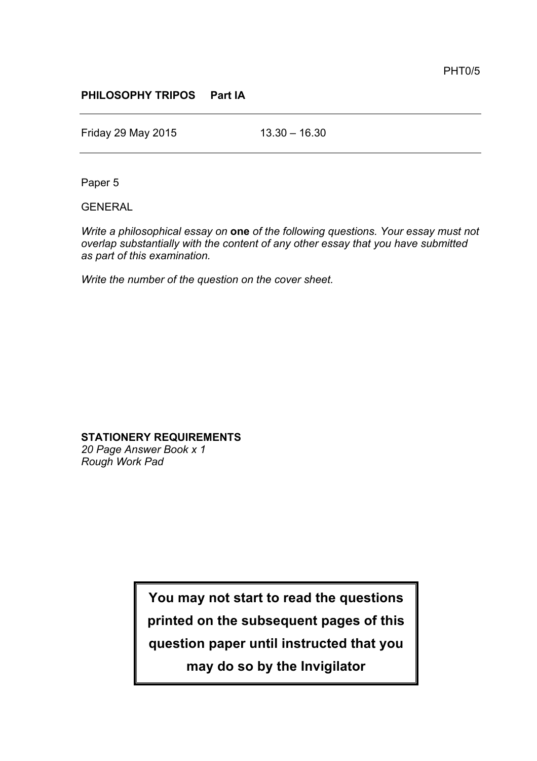## **PHILOSOPHY TRIPOS Part IA**

Friday 29 May 2015 13.30 – 16.30

Paper 5

GENERAL

*Write a philosophical essay on* **one** *of the following questions. Your essay must not overlap substantially with the content of any other essay that you have submitted as part of this examination.*

*Write the number of the question on the cover sheet.*

**STATIONERY REQUIREMENTS**

*20 Page Answer Book x 1 Rough Work Pad*

> **You may not start to read the questions printed on the subsequent pages of this question paper until instructed that you may do so by the Invigilator**